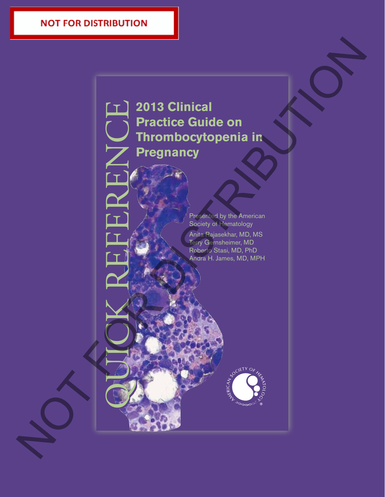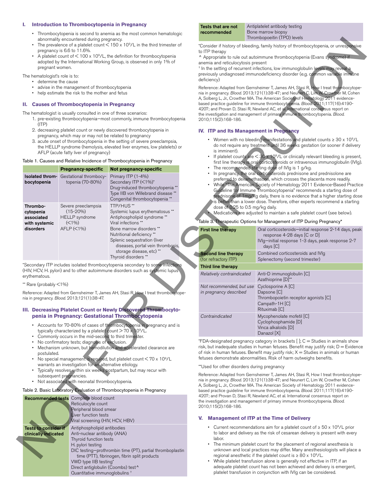#### **I. Introduction to Thrombocytopenia in Pregnancy**

- Thrombocytopenia is second to anemia as the most common hematologic abnormality encountered during pregnancy.
- The prevalence of a platelet count  $\leq 150 \times 10^9$ /L in the third trimester of pregnancy is 6.6 to 11.6%.
- A platelet count of  $< 100 \times 10^9$ /L, the definition for thrombocytopenia adopted by the International Working Group, is observed in only 1% of pregnant women.

The hematologist's role is to:

- • determine the cause
- • advise in the management of thrombocytopenia
- help estimate the risk to the mother and fetus

## **II. Causes of Thrombocytopenia in Pregnancy**

The hematologist is usually consulted in one of three scenarios:

- 1. pre-existing thrombocytopenia-most commonly, immune thrombocytopenia (ITP)
- 2. decreasing platelet count or newly discovered thrombocytopenia in pregnancy, which may or may not be related to pregnancy
- 3. acute onset of thrombocytopenia in the setting of severe preeclampsia, the HELLP syndrome (hemolysis, elevated liver enzymes, low platelets) or AFLP (acute fatty liver of pregnancy)

#### Table 1. Causes and Relative Incidence of Thrombocytopenia in Pregnancy

|                                                                   | <b>Pregnancy-specific</b>                                                              | Not pregnancy-specific                                                                                                                                                                                                                                                                |
|-------------------------------------------------------------------|----------------------------------------------------------------------------------------|---------------------------------------------------------------------------------------------------------------------------------------------------------------------------------------------------------------------------------------------------------------------------------------|
| Isolated throm-<br>bocytopenia                                    | Gestational thrombocy-<br>topenia (70-80%)                                             | Primary ITP (1-4%)<br>Secondary ITP (<1%)*<br>Drug-induced thrombocytopenia **<br>Type IIB von Willebrand disease **<br>Congenital thrombocytopenia **                                                                                                                                |
| Thrombo-<br>cytopenia<br>associated<br>with systemic<br>disorders | Severe preeclampsia<br>$(15-20%)$<br><b>HELLP</b> syndrome<br>$(<1%$ )<br>$AFLP$ (<1%) | TTP/HUS**<br>Systemic lupus erythematosus **<br>Antiphospholipid syndrome **<br>Viral infections **<br>Bone marrow disorders **<br>Nutritional deficiency **<br>Splenic sequestration (liver<br>diseases, portal vein thrombosis,<br>storage disease, etc) **<br>Thyroid disorders ** |

\*Secondary ITP includes isolated thrombocytopenia secondary to some infection (HIV, HCV, H. pylori) and to other autoimmune disorders such as systemic lupus erythematous.

#### \*\* Rare (probably <1%)

Reference: Adapted from Gernsheimer T, James AH, Stasi R, How I treat thrombocytopenia in pregnancy. Blood. 2013;121(1):38-47.

# **III. Decreasing Platelet Count or Newly Discovered Thrombocytopenia in Pregnancy: Gestational Thrombocytopenia**

- Accounts for 70-80% of cases of thrombocytopenia in pregnancy and is typically characterized by a platelet count  $>$  70  $\times$  10<sup>9</sup>/L.
- Commonly occurs in the mid-second to third trimester.
- No confirmatory tests; diagnosis of exclusion.
- Mechanism unknown, but hemodilution and accelerated clearance are postulated.
- No special management is required, but platelet count  $<$  70 x 10<sup>9</sup>/L warrants an investigation for an alternative etiology.
- Typically resolves within six weeks postpartum, but may recur with subsequent pregnancies.
- • Not associated with neonatal thrombocytopenia.

#### Table 2. Basic Laboratory Evaluation of Thrombocytopenia in Pregnancy

| subsequent pregnancies.                      | Typically resolves within six weeks postpartum, but may recur<br>• Not associated with neonatal thrombocytopenia.                                                                                                                                                                                                         |
|----------------------------------------------|---------------------------------------------------------------------------------------------------------------------------------------------------------------------------------------------------------------------------------------------------------------------------------------------------------------------------|
|                                              | Table 2. Basic Laboratory Evaluation of Thrombocytopenia in Pregna                                                                                                                                                                                                                                                        |
|                                              | Recommended tests Complete blood count<br>Reticulocyte count<br>Peripheral blood smear<br>Liver function tests<br>Viral screening (HIV, HCV, HBV)                                                                                                                                                                         |
| Tests to consider if<br>clinically indicated | Antiphospholipid antibodies<br>Anti-nuclear antibody (ANA)<br>Thyroid function tests<br>H. pylori testing<br>DIC testing-prothrombin time (PT), partial the<br>time (PTT), fibrinogen, fibrin split products<br>VWD type IIB testing*<br>Direct antiglobulin (Coombs) test <sup>^</sup><br>Quantitative immunoglobulins + |

romboplastin

| Tests that are not | Antipla     |
|--------------------|-------------|
| recommended        | <b>Bone</b> |
|                    | Throm       |

atelet antibody testing marrow biopsy hopoeitin (TPO) levels

## **IV. ITP and Its Management in Pregnancy**

- Women with no bleeding manifestations and platelet counts  $\geq 30 \times 10^9$ /L do not require any treatment until 36 weeks gestation (or sooner if delivery is imminent).
- If platelet counts are  $<$  30 x 10<sup>9</sup>/L or clinically relevant bleeding is present, first line therapy is oral corticosteroids or intravenous immunoglobulin (IVIg).
- The recommended starting dose of IVIg is 1 g/kg.
- In pregnancy, the oral corticosteroids prednisone and prednisolone are preferred to dexamethasone, which crosses the placenta more readily.
- While "The American Society of Hematology 2011 Evidence-Based Practice Guideline for Immune Thrombocytopenia" recommends a starting dose of prednisone of 1mg/kg daily, there is no evidence that a higher starting dose is better than a lower dose. Therefore, other experts recommend a starting

#### Table 3. Therapeutic Options for Management of ITP During Pregnancy\*

| ed during pregnancy.                                   |                                                                                                                                                                                                                                     |                                                                     | Thrombopoeitin (TPO) levels                                                                                                                                                                                                                                                                                                                                                                                                                                                                                                                                                                         |
|--------------------------------------------------------|-------------------------------------------------------------------------------------------------------------------------------------------------------------------------------------------------------------------------------------|---------------------------------------------------------------------|-----------------------------------------------------------------------------------------------------------------------------------------------------------------------------------------------------------------------------------------------------------------------------------------------------------------------------------------------------------------------------------------------------------------------------------------------------------------------------------------------------------------------------------------------------------------------------------------------------|
| 6%.                                                    | telet count $<$ 150 x 10 <sup>9</sup> /L in the third trimester of<br>00 x 10 <sup>9</sup> /L, the definition for thrombocytopenia<br>ional Working Group, is observed in only 1% of:                                               | to ITP therapy<br>anemia and reticulocytosis present<br>deficiency) | *Consider if history of bleeding, family history of thrombocytopenia, or unresponsive<br>Appropriate to rule out autoimmune thrombocytopenia (Evans syndrome) if<br><sup>†</sup> In the setting of recurrent infections, low immunoglobulin levels may reveal a<br>previously undiagnosed immunodeficiency disorder (e.g. common variable immune                                                                                                                                                                                                                                                    |
| ent of thrombocytopenia<br>o the mother and fetus      | rtopenia in Pregnancy<br>isulted in one of three scenarios:<br>topenia—most commonly, immune thrombocytopenia                                                                                                                       | 2010;115(2):168-186.                                                | Reference: Adapted from Gernsheimer T, James AH, Stasi R, How I treat thrombocytope-<br>nia in pregnancy. Blood. 2013;121(1):38-47; and Neunert C, Lim W, Crowther M, Cohen<br>A, Solberg L, Jr., Crowther MA. The American Society of Hematology 2011 evidence-<br>based practice guideline for immune thrombocytopenia. Blood. 2011;117(16):4190-<br>4207; and Provan D, Stasi R, Newland AC, et al. International consensus report on<br>the investigation and management of primary immune thrombocytopenia. Blood.                                                                             |
| of pregnancy)                                          | int or newly discovered thrombocytopenia in<br>or may not be related to pregnancy<br>cytopenia in the setting of severe preeclampsia,<br>hemolysis, elevated liver enzymes, low platelets) or                                       | <b>IV. ITP and Its Management in Pregnancy</b><br>is imminent).     | • Women with no bleeding manifestations and platelet counts $\geq 30 \times 10^9/L$<br>do not require any treatment until 36 weeks gestation (or sooner if delivery<br>• If platelet counts are $\leq 30 \times 10^9$ /L or clinically relevant bleeding is present,                                                                                                                                                                                                                                                                                                                                |
|                                                        | ncidence of Thrombocytopenia in Pregnancy                                                                                                                                                                                           |                                                                     | first line therapy is oral corticosteroids or intravenous immunoglobulin (IVIg).                                                                                                                                                                                                                                                                                                                                                                                                                                                                                                                    |
| /-specific<br>thrombocy-<br>70-80%)<br>eclampsia<br>b) | Not pregnancy-specific<br>Primary ITP (1-4%)<br>Secondary ITP $(<1\%)^*$<br>Drug-induced thrombocytopenia *<br>Type IIB von Willebrand disease **<br>Congenital thrombocytopenia **<br>TTP/HUS**<br>Systemic lupus erythematosus ** | dose of 0.25 to 0.5 mg/kg daily.                                    | • The recommended starting dose of IVIg is 1 g/kg.<br>In pregnancy, the oral corticosteroids prednisone and prednisolone are<br>preferred to dexamethasone, which crosses the placenta more readily.<br>• While "The American Society of Hematology 2011 Evidence-Based Practice"<br>Guideline for Immune Thrombocytopenia" recommends a starting dose of<br>prednisone of 1 mg/kg daily, there is no evidence that a higher starting dose<br>is better than a lower dose. Therefore, other experts recommend a starting<br>Medications are adjusted to maintain a safe platelet count (see below). |
| drome<br>6)                                            | Antiphospholipid syndrome **<br>Viral infections **<br>Bone marrow disorders **<br>Nutritional deficiency **<br>Splenic sequestration (liver<br>diseases, portal vein thrombosis,                                                   | First line therapy                                                  | Table 3. Therapeutic Options for Management of ITP During Pregnancy*<br>Oral corticosteroids-initial response 2-14 days, peak<br>response 4-28 days [C or D]<br>IVIg-initial response 1-3 days, peak response 2-7<br>days [C]                                                                                                                                                                                                                                                                                                                                                                       |
|                                                        | storage disease, etc) **<br>Thyroid disorders **                                                                                                                                                                                    | <b>Second line therapy</b><br>(for refractory ITP)                  | Combined corticosteroids and IVIg<br>Splenectomy (second trimester)                                                                                                                                                                                                                                                                                                                                                                                                                                                                                                                                 |
|                                                        | ed thrombocytopenia secondary to some infections                                                                                                                                                                                    | Third line therapy                                                  |                                                                                                                                                                                                                                                                                                                                                                                                                                                                                                                                                                                                     |
|                                                        | er autoimmune disorders such as systemic lupus                                                                                                                                                                                      | Relatively contraindicated                                          | Anti-D immunoglobulin [C]<br>Azathioprine [D]**                                                                                                                                                                                                                                                                                                                                                                                                                                                                                                                                                     |
| $1(1):38-47.$                                          | eimer T, James AH, Stasi R, How I treat thrombocytope-<br><b>Count or Newly Discovered Thrombocyto-</b>                                                                                                                             | Not recommended, but use<br>in pregnancy described                  | Cyclosporine A [C]<br>Dapsone [C]<br>Thrombopoietin receptor agonists [C]<br>Campath-1H [C]<br>Rituximab [C]                                                                                                                                                                                                                                                                                                                                                                                                                                                                                        |
|                                                        | <b>Gestational Thrombocytopenia</b><br>of cases of thrombocytopenia in pregnancy and is<br>y a platelet count > 70 x 10°/L.<br>e mid-second to third trimester.                                                                     | Contraindicated                                                     | Mycophenolate mofetil [C]<br>Cyclophosphamide [D]<br>Vinca alkaloids [D]<br>Danazol [X]                                                                                                                                                                                                                                                                                                                                                                                                                                                                                                             |
| diagnosis of exclusion.                                | out hemodilution and accelerated clearance are<br>it is required, but platelet count $<$ 70 x 10 <sup>9</sup> /L                                                                                                                    |                                                                     | *FDA-designated pregnancy category in brackets $[]$ ; $C =$ Studies in animals show<br>risk, but inadequate studies in human fetuses. Benefit may justify risk; D = Evidence<br>of risk in human fetuses. Benefit may justify risk; $X =$ Studies in animals or human<br>fetuses demonstrate abnormalities. Risk of harm outweighs benefits.                                                                                                                                                                                                                                                        |
|                                                        | on for an alternative etiology.<br>i six weeks postpartum, but may recur with                                                                                                                                                       | **Used for other disorders during pregnancy                         |                                                                                                                                                                                                                                                                                                                                                                                                                                                                                                                                                                                                     |
|                                                        |                                                                                                                                                                                                                                     |                                                                     | Reference: Adapted from Gernsheimer T. James AH. Stasi R. How I treat thrombocytope-                                                                                                                                                                                                                                                                                                                                                                                                                                                                                                                |

# \*\*Used for other disorders during pregnancy

Reference: Adapted from Gernsheimer T, James AH, Stasi R, How I treat thrombocytopenia in pregnancy. Blood. 2013;121(1):38-47; and Neunert C, Lim W, Crowther M, Cohen A, Solberg L, Jr., Crowther MA. The American Society of Hematology 2011 evidencebased practice guideline for immune thrombocytopenia. Blood. 2011;117(16):4190- 4207; and Provan D, Stasi R, Newland AC, et al. International consensus report on the investigation and management of primary immune thrombocytopenia. Blood. 2010;115(2):168-186.

#### **V. Management of ITP at the Time of Delivery**

- Current recommendations aim for a platelet count of  $\geq 50 \times 10^9$ /L prior to labor and delivery as the risk of cesarean delivery is present with every labor.
- The minimum platelet count for the placement of regional anesthesia is unknown and local practices may differ. Many anesthesiologists will place a regional anesthetic if the platelet count is ≥ 80 x 10<sup>9</sup>/L.
- While platelet transfusion alone is generally not effective in ITP, if an adequate platelet count has not been achieved and delivery is emergent, platelet transfusion in conjunction with IVIg can be considered.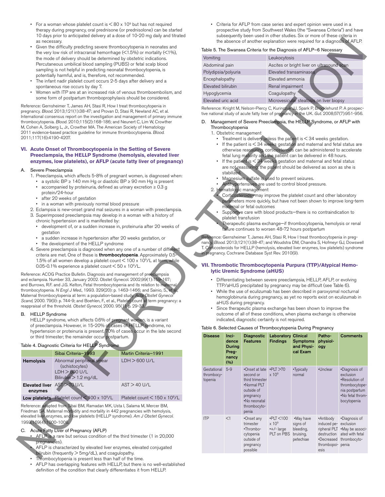- For a woman whose platelet count is  $< 80 \times 10^9$  but has not required therapy during pregnancy, oral prednisone (or prednisolone) can be started 10 days prior to anticipated delivery at a dose of 10-20 mg daily and titrated as necessary.
- Given the difficulty predicting severe thrombocytopenia in neonates and the very low risk of intracranial hemorrhage (<1.5%) or mortality (<1%), the mode of delivery should be determined by obstetric indications. Percutaneous umbilical blood sampling (PUBS) or fetal scalp blood sampling is not helpful in predicting neonatal thrombocytopenia, is potentially harmful, and is, therefore, not recommended.
- The infant nadir platelet count occurs 2-5 days after delivery and a spontaneous rise occurs by day 7.
- Women with ITP are at an increased risk of venous thromboembolism, and some form of postpartum thromboprophylaxis should be considered.

Reference: Gernsheimer T, James AH, Stasi R, How I treat thrombocytopenia in pregnancy. Blood. 2013;121(1):38-47; and Provan D, Stasi R, Newland AC, et al. International consensus report on the investigation and management of primary immune thrombocytopenia. Blood. 2010;115(2):168-186; and Neunert C, Lim W, Crowther M, Cohen A, Solberg L, Jr., Crowther MA. The American Society of Hematology 2011 evidence-based practice guideline for immune thrombocytopenia. Blood. 2011;117(16):4190-4207.

### **VI. Acute Onset of Thrombocytopenia in the Setting of Severe Preeclampsia, the HELLP Syndrome (hemolysis, elevated liver enzymes, low platelets), or AFLP (acute fatty liver of pregnancy)**

#### Severe Preeclampsia

- 1. Preeclampsia, which affects 5-8% of pregnant women, is diagnosed when:
	- • a systolic BP ≥ 140 mm Hg or diastolic BP ≥ 90 mm Hg is present accompanied by proteinuria, defined as urinary excretion  $\geq 0.3$  g
	- protein/24-hour
	- after 20 weeks of gestation
- in a woman with previously normal blood pressure
- 2. Eclampsia is new-onset grand mal seizures in a woman with preeclampsia.
- 3. Superimposed preeclampsia may develop in a woman with a history of chronic hypertension and is manifested by:
	- development of, or a sudden increase in, proteinuria after 20 weeks of gestation
	- • a sudden increase in hypertension after 20 weeks gestation, or
	- the development of the HELLP syndrome
- 4. Severe preeclampsia is diagnosed when any one of a number of different criteria are met. One of these is thrombocytopenia. Approximately 0.5-1.5% of all women develop a platelet count < 100 x 10<sup>9</sup>/L at term, while 0.05-0.1% experience a platelet count  $<$  50 x 10<sup>9</sup>/L.

Reference: ACOG Practice Bulletin. Diagnosis and management of preeclampsia and eclampsia. Number 33, January 2002. Obstet Gynecol. 2002;99(1):159-167; and Burrows, R.F. and J.G. Kelton, Fetal thrombocytopenia and its relation to materna thrombocytopenia. N Engl J Med., 1993. 329(20): p. 1463-1466; and Sainio, S., et a Maternal thrombocytopenia at term: a population-based study. Acta Obstet Gynecol Scand, 2000. 79(9): p. 744-9; and Boehlen, F., et al., Platelet count at term pregnancy: a reappraisal of the threshold. Obstet Gynecol, 2000. 95(1): p. 29-33.

## B. HELLP Syndrome

HELLP syndrome, which affects 0.6% of pregnant women, is a variant of preeclampsia. However, in 15-20% of cases of HELLP syndrome, no hypertension or proteinuria is present. 70% of cases occur in the late second or third trimester; the remainder occur postpartum.

## Table 4. Diagnostic Criteria for HELLP Syndrome

|                                  | Sibai Criteria-1993                                                                                                                                                                                                                                | Martin Criteria-1991                        |
|----------------------------------|----------------------------------------------------------------------------------------------------------------------------------------------------------------------------------------------------------------------------------------------------|---------------------------------------------|
| <b>Hemolysis</b>                 | Abnormal peripheral smear<br>(schistocytes)<br>$LDH > 600$ U/L<br>Bilirubin $> 1.2$ mg/dL                                                                                                                                                          | $LDH > 600$ U/L                             |
| <b>Elevated liver</b><br>enzymes | $AST > 70$ U/L                                                                                                                                                                                                                                     | AST > 40 U/L                                |
|                                  | <b>Low platelets</b> Platelet count < $100 \times 10^9$ /L                                                                                                                                                                                         | Platelet count $<$ 150 x 10 <sup>9</sup> /L |
| 1993;169(4):1000-1006.           | Reference: adapted from Sibai BM, Ramadan MK, Usta I, Salama M, Mercer BM,<br>Friedman SA. Maternal morbidity and mortality in 442 pregnancies with hemolysis,<br>elevated liver enzymes, and low platelets (HELLP syndrome). Am J Obstet Gynecol. |                                             |
| C.<br>pregnancies).              | Acute Fatty Liver of Pregnancy (AFLP)<br>• AFLP is a rare but serious condition of the third trimester (1 in 20,000                                                                                                                                |                                             |
|                                  | AFLP is characterized by elevated liver enzymes, elevated conjugated<br>bilirubin (frequently $>$ 5mg/dL), and coagulopathy.<br>Thrombocytonenia is present less than half of the time                                                             |                                             |

## C. Acute Fatty Liver of Pregnancy (AFLP)

- AFLP is a rare but serious condition of the third trimester (1 in 20,000 pregnancies).
- AFLP is characterized by elevated liver enzymes, elevated conjugated bilirubin (frequently > 5mg/dL), and coagulopathy.
- • Thrombocytopenia is present less than half of the time.
- AFLP has overlapping features with HELLP, but there is no well-established definition of the condition that clearly differentiates it from HELLP.

 • Criteria for AFLP from case series and expert opinion were used in a prospective study from Southwest Wales (the "Swansea Criteria") and have subsequently been used in other studies. Six or more of these criteria in the absence of another explanation were required for a diagnosis of AFLP.

#### Table 5. The Swansea Criteria for the Diagnosis of AFLP—6 Necessary

|                                                                | hod don't orly at a dood or it of 20 mig daily and thro                                                                                                                                                                                                                                                                    |                           |                  | the absence of another explanation were required for a diagnosis of AFLP.                                                                                                                                                                                                                                                                                                                                                                                                                                                                                        |                            |                                            |          |                                                                                   |
|----------------------------------------------------------------|----------------------------------------------------------------------------------------------------------------------------------------------------------------------------------------------------------------------------------------------------------------------------------------------------------------------------|---------------------------|------------------|------------------------------------------------------------------------------------------------------------------------------------------------------------------------------------------------------------------------------------------------------------------------------------------------------------------------------------------------------------------------------------------------------------------------------------------------------------------------------------------------------------------------------------------------------------------|----------------------------|--------------------------------------------|----------|-----------------------------------------------------------------------------------|
|                                                                | icting severe thrombocytopenia in neonates and                                                                                                                                                                                                                                                                             |                           |                  | Table 5. The Swansea Criteria for the Diagnosis of AFLP-6 Necessary                                                                                                                                                                                                                                                                                                                                                                                                                                                                                              |                            |                                            |          |                                                                                   |
|                                                                | cranial hemorrhage (<1.5%) or mortality (<1%),<br>buld be determined by obstetric indications.                                                                                                                                                                                                                             | Vomiting                  |                  |                                                                                                                                                                                                                                                                                                                                                                                                                                                                                                                                                                  | Leukocytosis               |                                            |          |                                                                                   |
|                                                                | blood sampling (PUBS) or fetal scalp blood                                                                                                                                                                                                                                                                                 | Abdominal pain            |                  |                                                                                                                                                                                                                                                                                                                                                                                                                                                                                                                                                                  |                            | Ascites or bright liver on ultrasound scan |          |                                                                                   |
| is, therefore, not recommended.                                | n predicting neonatal thrombocytopenia, is                                                                                                                                                                                                                                                                                 | Polydipsia/polyuria       |                  |                                                                                                                                                                                                                                                                                                                                                                                                                                                                                                                                                                  |                            | Elevated transaminases                     |          |                                                                                   |
|                                                                | count occurs 2-5 days after delivery and a                                                                                                                                                                                                                                                                                 | Encephalopathy            |                  |                                                                                                                                                                                                                                                                                                                                                                                                                                                                                                                                                                  | Elevated ammonia           |                                            |          |                                                                                   |
| s by day 7.                                                    |                                                                                                                                                                                                                                                                                                                            | Elevated bilirubin        |                  |                                                                                                                                                                                                                                                                                                                                                                                                                                                                                                                                                                  | Renal impairment           |                                            |          |                                                                                   |
|                                                                | an increased risk of venous thromboembolism, and                                                                                                                                                                                                                                                                           | Hypoglycemia              |                  |                                                                                                                                                                                                                                                                                                                                                                                                                                                                                                                                                                  | Coagulopathy               |                                            |          |                                                                                   |
|                                                                | m thromboprophylaxis should be considered.                                                                                                                                                                                                                                                                                 | Elevated uric acid        |                  |                                                                                                                                                                                                                                                                                                                                                                                                                                                                                                                                                                  |                            | Microvesicular steatosis on liver biopsy   |          |                                                                                   |
|                                                                | AH, Stasi R, How I treat thrombocytopenia in<br>3-47; and Provan D, Stasi R, Newland AC, et al.<br>the investigation and management of primary immune                                                                                                                                                                      |                           |                  | Reference: Knight M, Nelson-Piercy C, Kurinczuk JJ, Spark P, Brocklehurst P. A prospec-<br>tive national study of acute fatty liver of pregnancy in the UK. Gut. 2008;57(7):951-956.                                                                                                                                                                                                                                                                                                                                                                             |                            |                                            |          |                                                                                   |
|                                                                | 15(2):168-186; and Neunert C, Lim W, Crowther<br>er MA. The American Society of Hematology<br>ideline for immune thrombocytopenia. Blood.                                                                                                                                                                                  | D.                        | Thrombocytopenia | Management of Severe Preeclampsia, the HELLP Syndrome, or AFLP with<br>1. Obstetric management                                                                                                                                                                                                                                                                                                                                                                                                                                                                   |                            |                                            |          |                                                                                   |
|                                                                | bocytopenia in the Setting of Severe<br>LLP Syndrome (hemolysis, elevated liver<br>s), or AFLP (acute fatty liver of pregnancy)                                                                                                                                                                                            |                           |                  | • Treatment is delivery unless the patient is $<$ 34 weeks gestation.<br>If the patient is $<$ 34 weeks gestation and maternal and fetal status are<br>otherwise reassuring, corticosteroids can be administered to accelerate<br>fetal lung maturity and the patient can be delivered in 48 hours.<br>If the patient is $\leq$ 34 weeks gestation and maternal and fetal status<br>are not reassuring, the patient should be delivered as soon as she is                                                                                                        |                            |                                            |          |                                                                                   |
|                                                                | ects 5-8% of pregnant women, is diagnosed when:<br>nm Hg or diastolic BP ≥ 90 mm Hg is present<br>einuria, defined as urinary excretion ≥ 0.3 g                                                                                                                                                                            |                           | stabilized.      | Magnesium sulfate is used to prevent seizures.<br>• Antihypertensives are used to control blood pressure.                                                                                                                                                                                                                                                                                                                                                                                                                                                        |                            |                                            |          |                                                                                   |
| station<br>iously normal blood pressure<br>d is manifested by: | grand mal seizures in a woman with preeclampsia.<br>psia may develop in a woman with a history of<br>sudden increase in, proteinuria after 20 weeks of                                                                                                                                                                     |                           |                  | 2. Hematologic management<br>• Corticosteroids-may improve the platelet count and other laboratory<br>maternal or fetal outcomes<br>Supportive care with blood products-there is no contraindication to<br>platelet transfusion<br>Therapeutic plasma exchange-if thrombocytopenia, hemolysis or renal<br>failure continues to worsen 48-72 hours postpartum                                                                                                                                                                                                     |                            |                                            |          | parameters more quickly, but have not been shown to improve long-term             |
| ne HELLP syndrome                                              | hypertension after 20 weeks gestation, or<br>diagnosed when any one of a number of different<br>these is <b>thrombocytopenia</b> . Approximately 0.5 <sup>-</sup>                                                                                                                                                          |                           |                  | Reference: Gernsheimer T, James AH, Stasi R, How I treat thrombocytopenia in preg-<br>T. Corticosteroids for HELLP (hemolysis, elevated liver enzymes, low platelets) syndrome<br>in pregnancy. Cochrane Database Syst Rev. 2010(9).                                                                                                                                                                                                                                                                                                                             |                            |                                            |          | nancy. Blood. 2013;121(1):38-47; and Woudstra DM, Chandra S, Hofmeyr GJ, Dowswell |
| platelet count < 50 x 10°/L.                                   | lop a platelet count $<$ 100 x 10 <sup>9</sup> /L at term, while                                                                                                                                                                                                                                                           |                           |                  | VII. Thrombotic Thrombocytopenia Purpura (TTP)/Atypical Hemo-                                                                                                                                                                                                                                                                                                                                                                                                                                                                                                    |                            |                                            |          |                                                                                   |
| et Gynecol, 2000. 95(1): p. 29-33. 4                           | n. Diagnosis and management of preeclampsia<br>ry 2002. Obstet Gynecol. 2002;99(1):159-167;<br>Fetal thrombocytopenia and its relation to maternal<br>1993. 329(20): p. 1463-1466; and Sainio, S., et al.,<br>n: a population-based study. Acta Obstet Gynecol<br>Boehlen, F., et al., Platelet count at term pregnancy: a |                           |                  | lytic Uremic Syndrome (aHUS)<br>• Differentiating between severe preeclampsia, HELLP, AFLP, or evolving<br>TTP/aHUS precipitated by pregnancy may be difficult (see Table 6).<br>• While the use of eculizumab has been described in paroxysmal nocturnal<br>hemoglobinuria during pregnancy, as yet no reports exist on eculizumab in<br>aHUS during pregnancy.<br>Since therapeutic plasma exchange has been shown to improve the<br>outcome of all of these conditions, when plasma exchange is otherwise<br>indicated, diagnostic certainty is not required. |                            |                                            |          |                                                                                   |
|                                                                | ffects 0.6% of pregnant women, is a variant<br>in 15-20% of cases of HELLP syndrome, no                                                                                                                                                                                                                                    |                           |                  | Table 6. Selected Causes of Thrombocytopenia During Pregnancy                                                                                                                                                                                                                                                                                                                                                                                                                                                                                                    |                            |                                            |          |                                                                                   |
|                                                                | is present. 70% of cases occur in the late second                                                                                                                                                                                                                                                                          | <b>Disease</b>            | Inci-            | <b>Diagnostic</b>                                                                                                                                                                                                                                                                                                                                                                                                                                                                                                                                                | <b>Laboratory Clinical</b> |                                            | Patho-   | <b>Comments</b>                                                                   |
| inder occur postpartum.                                        |                                                                                                                                                                                                                                                                                                                            |                           | dence            | <b>Features</b>                                                                                                                                                                                                                                                                                                                                                                                                                                                                                                                                                  | <b>Findings</b>            | Symptoms                                   | physiol- |                                                                                   |
| <b>HELLP</b> Syndrome                                          |                                                                                                                                                                                                                                                                                                                            |                           | During           |                                                                                                                                                                                                                                                                                                                                                                                                                                                                                                                                                                  |                            | and Physi-<br>cal Exam                     | ogy      |                                                                                   |
| 1993-                                                          | Martin Criteria-1991                                                                                                                                                                                                                                                                                                       |                           | Preg-<br>nancy   |                                                                                                                                                                                                                                                                                                                                                                                                                                                                                                                                                                  |                            |                                            |          |                                                                                   |
| oheral smear                                                   | $LDH > 600$ U/L                                                                                                                                                                                                                                                                                                            |                           | (9)              |                                                                                                                                                                                                                                                                                                                                                                                                                                                                                                                                                                  |                            |                                            |          |                                                                                   |
| es)<br>/L                                                      |                                                                                                                                                                                                                                                                                                                            | Gestational<br>thrombocy- | $5-9$            | •Onset at late •PLT >70<br>second or                                                                                                                                                                                                                                                                                                                                                                                                                                                                                                                             | x 10 <sup>9</sup>          | •Typically<br>normal                       | •Unclear | •Diagnosis of<br>exclusion                                                        |

# D. Management of Severe Preeclampsia, the HELLP Syndrome, or AFLP with

- Thrombocytopenia 1. Obstetric management
	- $\bullet$  Treatment is delivery unless the patient is  $<$  34 weeks gestation.
	- If the patient is  $<$  34 weeks gestation and maternal and fetal status are otherwise reassuring, corticosteroids can be administered to accelerate fetal lung maturity and the patient can be delivered in 48 hours.
	- If the patient is  $<$  34 weeks gestation and maternal and fetal status are not reassuring, the patient should be delivered as soon as she is stabilized.
	- Magnesium sulfate is used to prevent seizures.
	- Antihypertensives are used to control blood pressure.
- 2. Hematologic management
	- Corticosteroids-may improve the platelet count and other laboratory parameters more quickly, but have not been shown to improve long-term maternal or fetal outcomes
	- Supportive care with blood products—there is no contraindication to platelet transfusion

## **VII. Thrombotic Thrombocytopenia Purpura (TTP)/Atypical Hemolytic Uremic Syndrome (aHUS)**

- • Differentiating between severe preeclampsia, HELLP, AFLP, or evolving TTP/aHUS precipitated by pregnancy may be difficult (see Table 6).
- While the use of eculizumab has been described in paroxysmal nocturnal hemoglobinuria during pregnancy, as yet no reports exist on eculizumab in aHUS during pregnancy.
- Since therapeutic plasma exchange has been shown to improve the outcome of all of these conditions, when plasma exchange is otherwise indicated, diagnostic certainty is not required.

## Table 6. Selected Causes of Thrombocytopenia During Pregnancy

| <b>Disease</b>                       | Inci-<br>dence<br>During<br>Preg-<br>nancy<br>(9) | <b>Diagnostic</b><br><b>Features</b>                                                                                              | Laboratory<br><b>Findings</b>                                  | <b>Clinical</b><br><b>Symptoms</b><br>and Physi-<br>cal Exam | Patho-<br>physiol-<br>ogy                                                                          | <b>Comments</b>                                                                                                     |
|--------------------------------------|---------------------------------------------------|-----------------------------------------------------------------------------------------------------------------------------------|----------------------------------------------------------------|--------------------------------------------------------------|----------------------------------------------------------------------------------------------------|---------------------------------------------------------------------------------------------------------------------|
| Gestational<br>thrombocy-<br>topenia | $5-9$                                             | •Onset at late<br>second or<br>third trimester<br>•Normal PLT<br>outside of<br>pregnancy<br>•No neonatal<br>thrombocyto-<br>penia | $\cdot$ PLT $>70$<br>$\times 10^9$                             | •Typically<br>normal                                         | •Unclear                                                                                           | •Diagnosis of<br>exclusion<br>•Resolution of<br>thrombocytope-<br>nia postpartum<br>.No fetal throm-<br>bocytopenia |
| <b>ITP</b>                           | <1                                                | •Onset any<br>trimester<br>•Thrombo-<br>cytopenia<br>outside of<br>pregnancy<br>possible                                          | $\cdot$ PLT <100<br>$\times 10^9$<br>$+/-$ large<br>PLT on PBS | •May have<br>signs of<br>bleeding,<br>bruising,<br>petechiae | •Antibody<br>induced pe-<br>ripheral PLT<br>destruction<br>•Decreased<br>thrombopoi- penia<br>esis | •Diagnosis of<br>exclusion<br>•May be associ-<br>ated with fetal<br>thrombocyto-                                    |